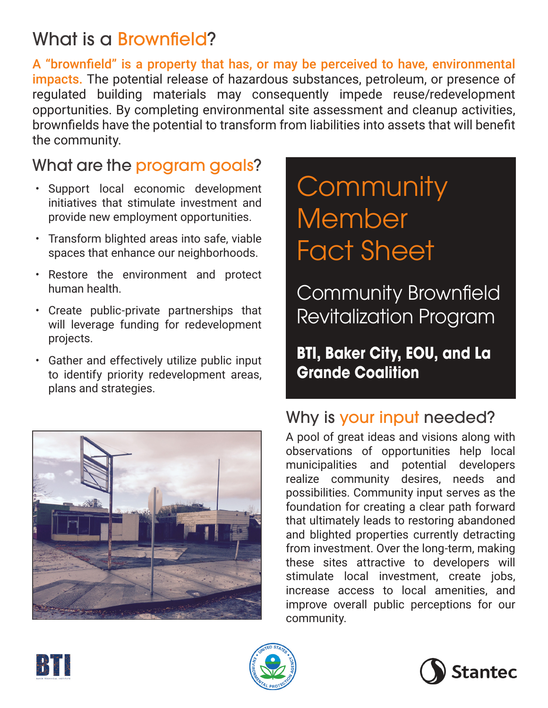## What is a Brownfield?

A "brownfield" is a property that has, or may be perceived to have, environmental impacts. The potential release of hazardous substances, petroleum, or presence of regulated building materials may consequently impede reuse/redevelopment opportunities. By completing environmental site assessment and cleanup activities, brownfields have the potential to transform from liabilities into assets that will benefit the community.

## What are the program goals?

- Support local economic development initiatives that stimulate investment and provide new employment opportunities.
- Transform blighted areas into safe, viable spaces that enhance our neighborhoods.
- Restore the environment and protect human health.
- Create public-private partnerships that will leverage funding for redevelopment projects.
- Gather and effectively utilize public input to identify priority redevelopment areas, plans and strategies.



# **Community** Member Fact Sheet

Community Brownfield Revitalization Program

## **BTI, Baker City, EOU, and La Grande Coalition**

## Why is your input needed?

A pool of great ideas and visions along with observations of opportunities help local municipalities and potential developers realize community desires, needs and possibilities. Community input serves as the foundation for creating a clear path forward that ultimately leads to restoring abandoned and blighted properties currently detracting from investment. Over the long-term, making these sites attractive to developers will stimulate local investment, create jobs, increase access to local amenities, and improve overall public perceptions for our community.